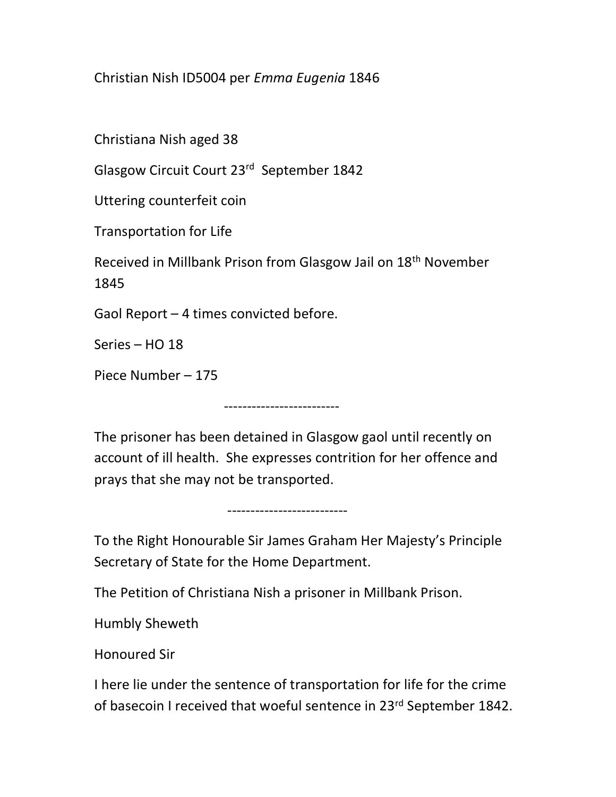Christian Nish ID5004 per Emma Eugenia 1846

Christiana Nish aged 38

Glasgow Circuit Court 23rd September 1842

Uttering counterfeit coin

Transportation for Life

Received in Millbank Prison from Glasgow Jail on 18th November 1845

Gaol Report – 4 times convicted before.

Series – HO 18

Piece Number – 175

The prisoner has been detained in Glasgow gaol until recently on account of ill health. She expresses contrition for her offence and prays that she may not be transported.

-------------------------

--------------------------

To the Right Honourable Sir James Graham Her Majesty's Principle Secretary of State for the Home Department.

The Petition of Christiana Nish a prisoner in Millbank Prison.

Humbly Sheweth

Honoured Sir

I here lie under the sentence of transportation for life for the crime of basecoin I received that woeful sentence in 23<sup>rd</sup> September 1842.